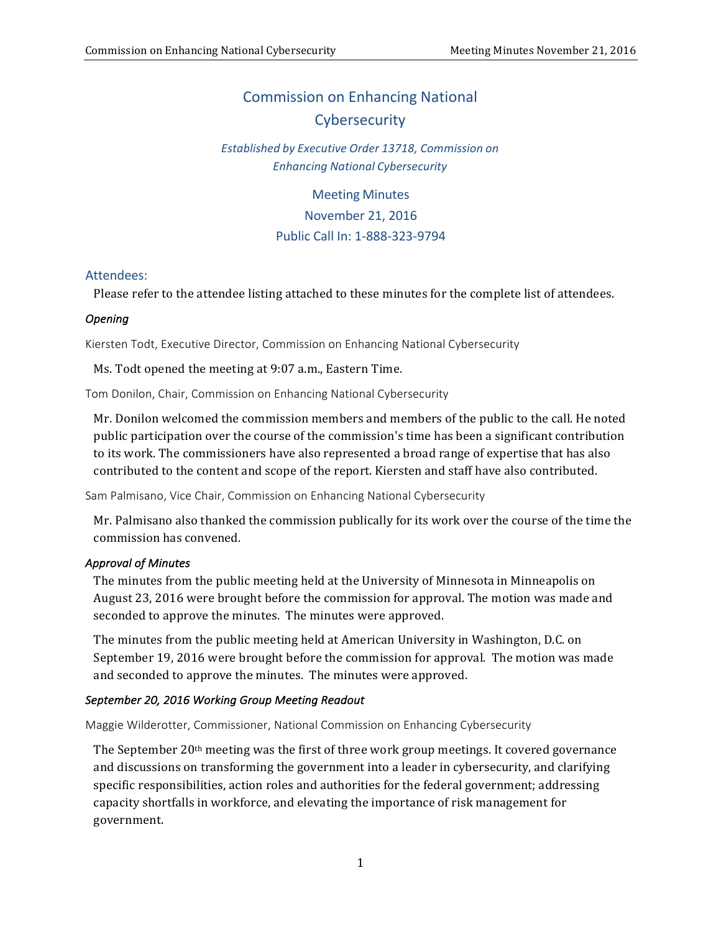## **Commission on Enhancing National Cybersecurity**

### *Established by Executive Order 13718, Commission on Enhancing National Cybersecurity*

 Meeting Minutes November 21, 2016 Public Call In: 1-888-323-9794

#### Attendees:

 Please refer to the attendee listing attached to these minutes for the complete list of attendees.

#### *Opening*

Kiersten Todt, Executive Director, Commission on Enhancing National Cybersecurity

 Ms. Todt opened the meeting at 9:07 a.m., Eastern Time.

Tom Donilon, Chair, Commission on Enhancing National Cybersecurity

Mr. Donilon welcomed the commission members and members of the public to the call. He noted public participation over the course of the commission's time has been a significant contribution to its work. The commissioners have also represented a broad range of expertise that has also contributed to the content and scope of the report. Kiersten and staff have also contributed.

 Sam Palmisano, Vice Chair, Commission on Enhancing National Cybersecurity

Mr. Palmisano also thanked the commission publically for its work over the course of the time the commission has convened.

#### *Approval of Minutes*

The minutes from the public meeting held at the University of Minnesota in Minneapolis on August 23, 2016 were brought before the commission for approval. The motion was made and seconded to approve the minutes. The minutes were approved.

 The minutes from the public meeting held at American University in Washington, D.C. on September 19, 2016 were brought before the commission for approval. The motion was made and seconded to approve the minutes. The minutes were approved.

#### *September 20, 2016 Working Group Meeting Readout*

 Maggie Wilderotter, Commissioner, National Commission on Enhancing Cybersecurity

The September 20<sup>th</sup> meeting was the first of three work group meetings. It covered governance and discussions on transforming the government into a leader in cybersecurity, and clarifying specific responsibilities, action roles and authorities for the federal government; addressing capacity shortfalls in workforce, and elevating the importance of risk management for government.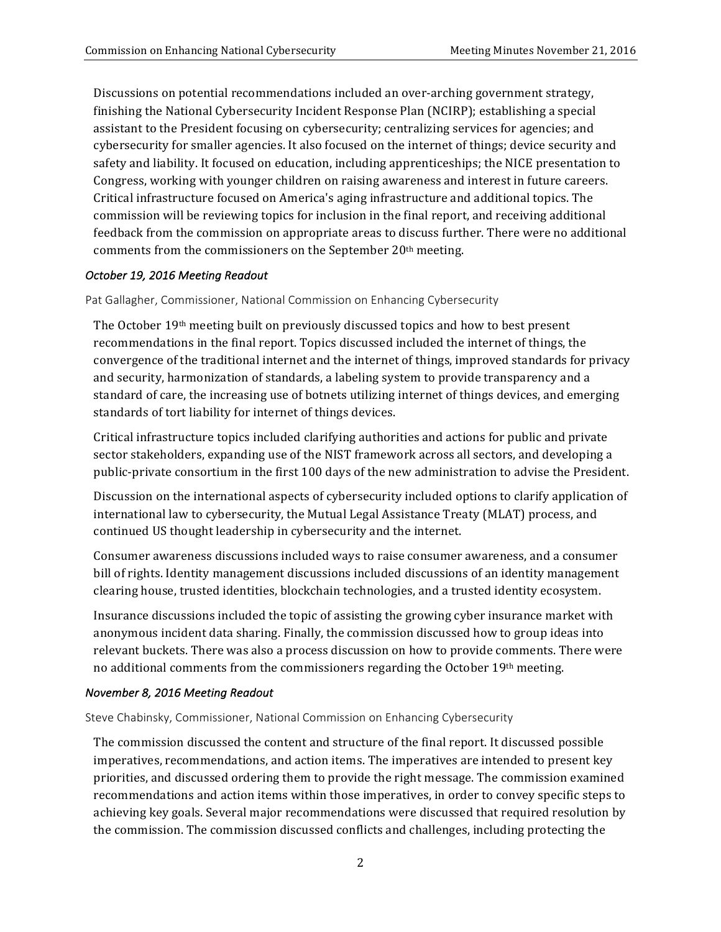Discussions on potential recommendations included an over-arching government strategy, finishing the National Cybersecurity Incident Response Plan (NCIRP); establishing a special assistant to the President focusing on cybersecurity; centralizing services for agencies; and cybersecurity for smaller agencies. It also focused on the internet of things; device security and safety and liability. It focused on education, including apprenticeships; the NICE presentation to Congress, working with younger children on raising awareness and interest in future careers. Critical infrastructure focused on America's aging infrastructure and additional topics. The commission will be reviewing topics for inclusion in the final report, and receiving additional feedback from the commission on appropriate areas to discuss further. There were no additional comments from the commissioners on the September 20<sup>th</sup> meeting.

#### *October 19, 2016 Meeting Readout*

 Pat Gallagher, Commissioner, National Commission on Enhancing Cybersecurity

The October 19<sup>th</sup> meeting built on previously discussed topics and how to best present recommendations in the final report. Topics discussed included the internet of things, the convergence of the traditional internet and the internet of things, improved standards for privacy and security, harmonization of standards, a labeling system to provide transparency and a standard of care, the increasing use of botnets utilizing internet of things devices, and emerging standards of tort liability for internet of things devices.

Critical infrastructure topics included clarifying authorities and actions for public and private sector stakeholders, expanding use of the NIST framework across all sectors, and developing a public-private consortium in the first 100 days of the new administration to advise the President.

 Discussion on the international aspects of cybersecurity included options to clarify application of international law to cybersecurity, the Mutual Legal Assistance Treaty (MLAT) process, and continued US thought leadership in cybersecurity and the internet.

Consumer awareness discussions included ways to raise consumer awareness, and a consumer bill of rights. Identity management discussions included discussions of an identity management clearing house, trusted identities, blockchain technologies, and a trusted identity ecosystem.

Insurance discussions included the topic of assisting the growing cyber insurance market with anonymous incident data sharing. Finally, the commission discussed how to group ideas into relevant buckets. There was also a process discussion on how to provide comments. There were no additional comments from the commissioners regarding the October 19th meeting.

#### *November 8, 2016 Meeting Readout*

Steve Chabinsky, Commissioner, National Commission on Enhancing Cybersecurity

The commission discussed the content and structure of the final report. It discussed possible imperatives, recommendations, and action items. The imperatives are intended to present key priorities, and discussed ordering them to provide the right message. The commission examined recommendations and action items within those imperatives, in order to convey specific steps to achieving key goals. Several major recommendations were discussed that required resolution by the commission. The commission discussed conflicts and challenges, including protecting the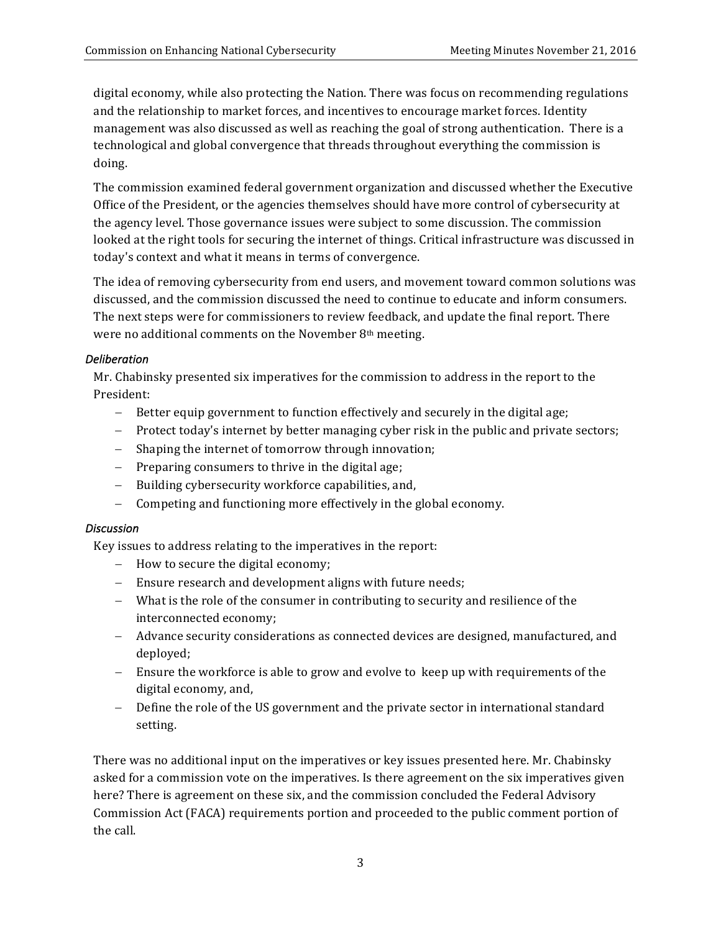digital economy, while also protecting the Nation. There was focus on recommending regulations and the relationship to market forces, and incentives to encourage market forces. Identity management was also discussed as well as reaching the goal of strong authentication. There is a technological and global convergence that threads throughout everything the commission is doing.

The commission examined federal government organization and discussed whether the Executive Office of the President, or the agencies themselves should have more control of cybersecurity at the agency level. Those governance issues were subject to some discussion. The commission looked at the right tools for securing the internet of things. Critical infrastructure was discussed in today's context and what it means in terms of convergence.

The idea of removing cybersecurity from end users, and movement toward common solutions was discussed, and the commission discussed the need to continue to educate and inform consumers. The next steps were for commissioners to review feedback, and update the final report. There were no additional comments on the November 8<sup>th</sup> meeting.

#### *Deliberation*

 Mr. Chabinsky presented six imperatives for the commission to address in the report to the President:

- Better equip government to function effectively and securely in the digital age;
- Protect today's internet by better managing cyber risk in the public and private sectors;
- Shaping the internet of tomorrow through innovation;
- Preparing consumers to thrive in the digital age;
- Building cybersecurity workforce capabilities, and,
- Competing and functioning more effectively in the global economy.

#### *Discussion*

 Key issues to address relating to the imperatives in the report:

- How to secure the digital economy;
- Ensure research and development aligns with future needs;
- What is the role of the consumer in contributing to security and resilience of the interconnected economy;
- Advance security considerations as connected devices are designed, manufactured, and deployed;
- Ensure the workforce is able to grow and evolve to keep up with requirements of the digital economy, and,
- Define the role of the US government and the private sector in international standard setting.

There was no additional input on the imperatives or key issues presented here. Mr. Chabinsky asked for a commission vote on the imperatives. Is there agreement on the six imperatives given here? There is agreement on these six, and the commission concluded the Federal Advisory Commission Act (FACA) requirements portion and proceeded to the public comment portion of the call.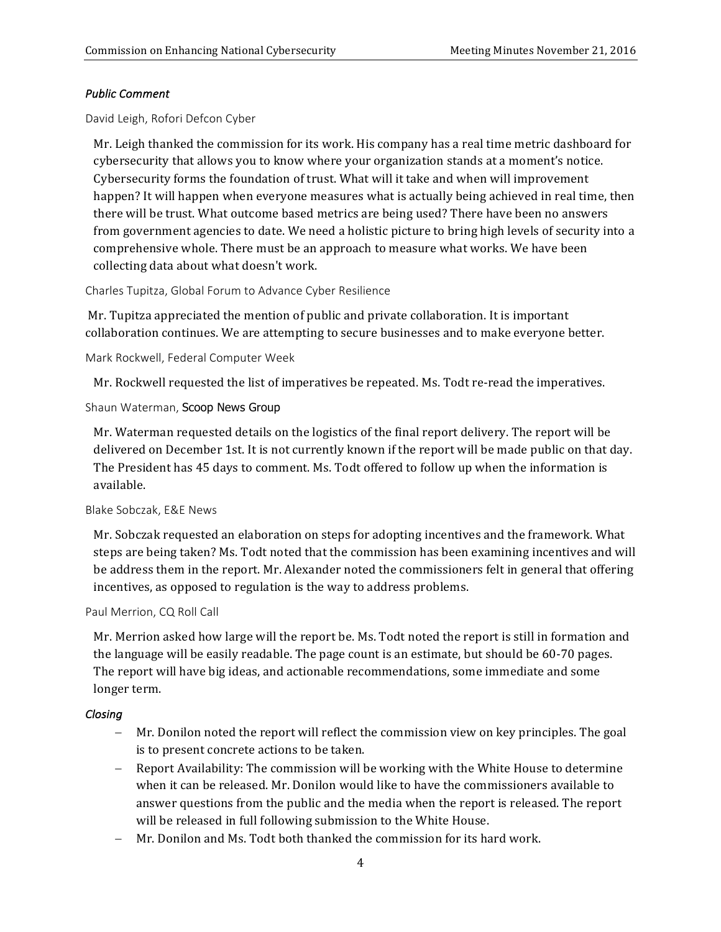#### *Public Comment*

David Leigh, Rofori Defcon Cyber

Mr. Leigh thanked the commission for its work. His company has a real time metric dashboard for cybersecurity that allows you to know where your organization stands at a moment's notice. Cybersecurity forms the foundation of trust. What will it take and when will improvement happen? It will happen when everyone measures what is actually being achieved in real time, then there will be trust. What outcome based metrics are being used? There have been no answers from government agencies to date. We need a holistic picture to bring high levels of security into a comprehensive whole. There must be an approach to measure what works. We have been collecting data about what doesn't work.

 Charles Tupitza, Global Forum to Advance Cyber Resilience

Mr. Tupitza appreciated the mention of public and private collaboration. It is important collaboration continues. We are attempting to secure businesses and to make everyone better.

Mark Rockwell, Federal Computer Week

Mr. Rockwell requested the list of imperatives be repeated. Ms. Todt re-read the imperatives.

#### Shaun Waterman, Scoop News Group

Mr. Waterman requested details on the logistics of the final report delivery. The report will be delivered on December 1st. It is not currently known if the report will be made public on that day. The President has 45 days to comment. Ms. Todt offered to follow up when the information is available.

#### Blake Sobczak, E&E News

Mr. Sobczak requested an elaboration on steps for adopting incentives and the framework. What steps are being taken? Ms. Todt noted that the commission has been examining incentives and will be address them in the report. Mr. Alexander noted the commissioners felt in general that offering incentives, as opposed to regulation is the way to address problems.

#### Paul Merrion, CQ Roll Call

Mr. Merrion asked how large will the report be. Ms. Todt noted the report is still in formation and the language will be easily readable. The page count is an estimate, but should be 60-70 pages. The report will have big ideas, and actionable recommendations, some immediate and some longer term.

#### *Closing*

- Mr. Donilon noted the report will reflect the commission view on key principles. The goal is to present concrete actions to be taken.
- Report Availability: The commission will be working with the White House to determine when it can be released. Mr. Donilon would like to have the commissioners available to answer questions from the public and the media when the report is released. The report will be released in full following submission to the White House.
- Mr. Donilon and Ms. Todt both thanked the commission for its hard work.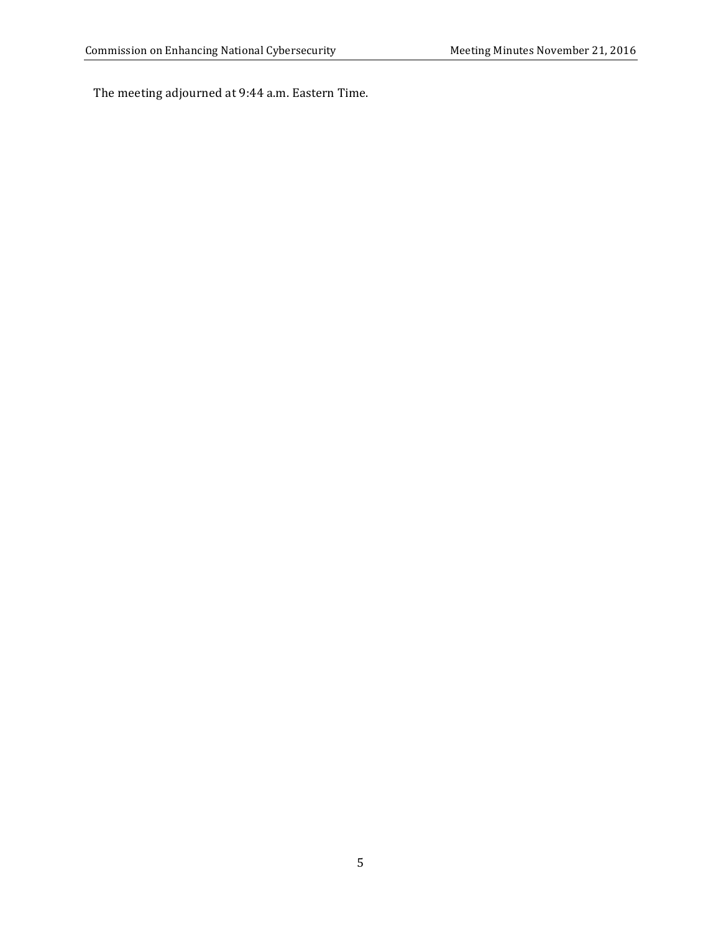The meeting adjourned at 9:44 a.m. Eastern Time.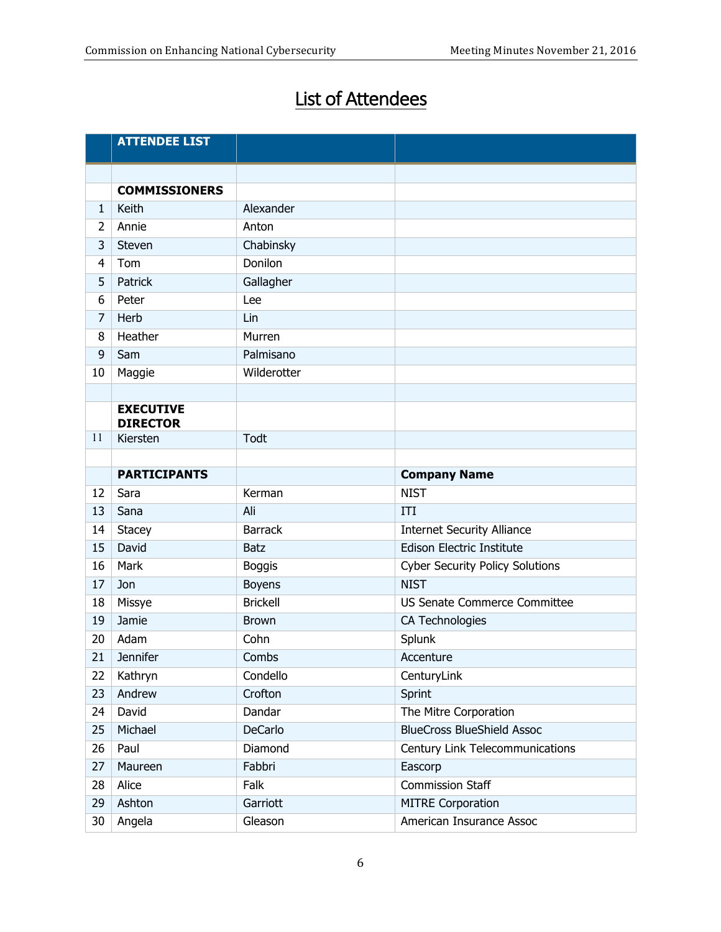# List of Attendees

|                | <b>ATTENDEE LIST</b>        |                 |                                        |
|----------------|-----------------------------|-----------------|----------------------------------------|
|                |                             |                 |                                        |
|                | <b>COMMISSIONERS</b>        |                 |                                        |
| $\mathbf{1}$   | Keith                       | Alexander       |                                        |
| $\overline{2}$ | Annie                       | Anton           |                                        |
| 3              | Steven                      | Chabinsky       |                                        |
| $\overline{4}$ | Tom                         | Donilon         |                                        |
| 5              | Patrick                     | Gallagher       |                                        |
| 6              | Peter                       | Lee             |                                        |
| 7              | Herb                        | Lin             |                                        |
| 8              | Heather                     | Murren          |                                        |
| 9              | Sam                         | Palmisano       |                                        |
| 10             | Maggie                      | Wilderotter     |                                        |
|                |                             |                 |                                        |
|                | <b>EXECUTIVE</b>            |                 |                                        |
| 11             | <b>DIRECTOR</b><br>Kiersten | Todt            |                                        |
|                |                             |                 |                                        |
|                | <b>PARTICIPANTS</b>         |                 | <b>Company Name</b>                    |
| 12             | Sara                        | Kerman          | <b>NIST</b>                            |
| 13             | Sana                        | Ali             | ITI                                    |
| 14             | <b>Stacey</b>               | <b>Barrack</b>  | <b>Internet Security Alliance</b>      |
| 15             | David                       | <b>Batz</b>     | Edison Electric Institute              |
| 16             | Mark                        | <b>Boggis</b>   | <b>Cyber Security Policy Solutions</b> |
| 17             | Jon                         | <b>Boyens</b>   | <b>NIST</b>                            |
| 18             | Missye                      | <b>Brickell</b> | <b>US Senate Commerce Committee</b>    |
| 19             | Jamie                       | <b>Brown</b>    | CA Technologies                        |
| 20             | Adam                        | Cohn            | Splunk                                 |
| 21             | <b>Jennifer</b>             | Combs           | Accenture                              |
| 22             | Kathryn                     | Condello        | CenturyLink                            |
| 23             | Andrew                      | Crofton         | Sprint                                 |
| 24             | David                       | Dandar          | The Mitre Corporation                  |
| 25             | Michael                     | <b>DeCarlo</b>  | <b>BlueCross BlueShield Assoc</b>      |
| 26             | Paul                        | Diamond         | Century Link Telecommunications        |
| 27             | Maureen                     | Fabbri          | Eascorp                                |
| 28             | Alice                       | Falk            | <b>Commission Staff</b>                |
| 29             | Ashton                      | Garriott        | <b>MITRE Corporation</b>               |
| 30             | Angela                      | Gleason         | American Insurance Assoc               |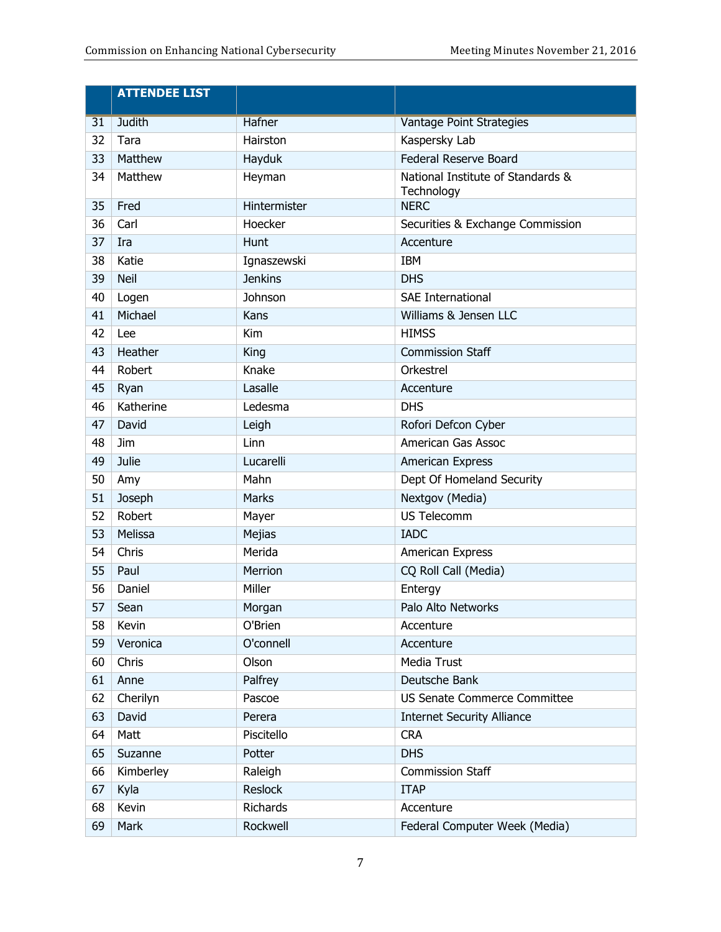|    | <b>ATTENDEE LIST</b> |                |                                                 |
|----|----------------------|----------------|-------------------------------------------------|
| 31 | <b>Judith</b>        | Hafner         | <b>Vantage Point Strategies</b>                 |
| 32 | Tara                 | Hairston       | Kaspersky Lab                                   |
| 33 | Matthew              | Hayduk         | Federal Reserve Board                           |
| 34 | Matthew              | Heyman         | National Institute of Standards &<br>Technology |
| 35 | Fred                 | Hintermister   | <b>NERC</b>                                     |
| 36 | Carl                 | Hoecker        | Securities & Exchange Commission                |
| 37 | Ira                  | Hunt           | Accenture                                       |
| 38 | Katie                | Ignaszewski    | <b>IBM</b>                                      |
| 39 | <b>Neil</b>          | <b>Jenkins</b> | <b>DHS</b>                                      |
| 40 | Logen                | Johnson        | <b>SAE International</b>                        |
| 41 | Michael              | Kans           | Williams & Jensen LLC                           |
| 42 | Lee                  | Kim            | <b>HIMSS</b>                                    |
| 43 | Heather              | King           | <b>Commission Staff</b>                         |
| 44 | Robert               | Knake          | Orkestrel                                       |
| 45 | Ryan                 | Lasalle        | Accenture                                       |
| 46 | Katherine            | Ledesma        | <b>DHS</b>                                      |
| 47 | David                | Leigh          | Rofori Defcon Cyber                             |
| 48 | Jim                  | Linn           | American Gas Assoc                              |
| 49 | Julie                | Lucarelli      | American Express                                |
| 50 | Amy                  | Mahn           | Dept Of Homeland Security                       |
| 51 | Joseph               | Marks          | Nextgov (Media)                                 |
| 52 | Robert               | Mayer          | <b>US Telecomm</b>                              |
| 53 | Melissa              | Mejias         | <b>IADC</b>                                     |
| 54 | Chris                | Merida         | American Express                                |
| 55 | Paul                 | Merrion        | CQ Roll Call (Media)                            |
| 56 | Daniel               | Miller         | Entergy                                         |
| 57 | Sean                 | Morgan         | Palo Alto Networks                              |
| 58 | Kevin                | O'Brien        | Accenture                                       |
| 59 | Veronica             | O'connell      | Accenture                                       |
| 60 | Chris                | Olson          | Media Trust                                     |
| 61 | Anne                 | Palfrey        | Deutsche Bank                                   |
| 62 | Cherilyn             | Pascoe         | US Senate Commerce Committee                    |
| 63 | David                | Perera         | <b>Internet Security Alliance</b>               |
| 64 | Matt                 | Piscitello     | <b>CRA</b>                                      |
| 65 | Suzanne              | Potter         | <b>DHS</b>                                      |
| 66 | Kimberley            | Raleigh        | <b>Commission Staff</b>                         |
| 67 | Kyla                 | Reslock        | <b>ITAP</b>                                     |
| 68 | Kevin                | Richards       | Accenture                                       |
| 69 | Mark                 | Rockwell       | Federal Computer Week (Media)                   |